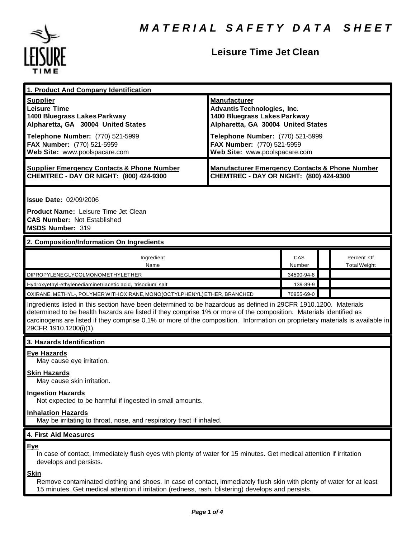

## **Leisure Time Jet Clean**

| 1. Product And Company Identification                                                                                                                                                                                                                                                                                                                                                             |                                                                                                                                                                                                                                    |               |                                   |
|---------------------------------------------------------------------------------------------------------------------------------------------------------------------------------------------------------------------------------------------------------------------------------------------------------------------------------------------------------------------------------------------------|------------------------------------------------------------------------------------------------------------------------------------------------------------------------------------------------------------------------------------|---------------|-----------------------------------|
| <b>Supplier</b><br><b>Leisure Time</b><br>1400 Bluegrass Lakes Parkway<br>Alpharetta, GA 30004 United States<br>Telephone Number: (770) 521-5999<br>FAX Number: (770) 521-5959<br>Web Site: www.poolspacare.com                                                                                                                                                                                   | <b>Manufacturer</b><br><b>Advantis Technologies, Inc.</b><br>1400 Bluegrass Lakes Parkway<br>Alpharetta, GA 30004 United States<br>Telephone Number: (770) 521-5999<br>FAX Number: (770) 521-5959<br>Web Site: www.poolspacare.com |               |                                   |
| <b>Supplier Emergency Contacts &amp; Phone Number</b><br>CHEMTREC - DAY OR NIGHT: (800) 424-9300                                                                                                                                                                                                                                                                                                  | <b>Manufacturer Emergency Contacts &amp; Phone Number</b><br>CHEMTREC - DAY OR NIGHT: (800) 424-9300                                                                                                                               |               |                                   |
| <b>Issue Date: 02/09/2006</b><br><b>Product Name: Leisure Time Jet Clean</b><br><b>CAS Number: Not Established</b><br>MSDS Number: 319<br>2. Composition/Information On Ingredients                                                                                                                                                                                                               |                                                                                                                                                                                                                                    |               |                                   |
| Ingredient<br>Name                                                                                                                                                                                                                                                                                                                                                                                |                                                                                                                                                                                                                                    | CAS<br>Number | Percent Of<br><b>Total Weight</b> |
| DIPROPYLENE GLYCOLMONOMETHYLETHER                                                                                                                                                                                                                                                                                                                                                                 |                                                                                                                                                                                                                                    | 34590-94-8    |                                   |
| Hydroxyethyl-ethylenediaminetriacetic acid, trisodium salt                                                                                                                                                                                                                                                                                                                                        |                                                                                                                                                                                                                                    | 139-89-9      |                                   |
| OXIRANE, METHYL-, POLYMER WITH OXIRANE, MONO(OCTYLPHENYL) ETHER, BRANCHED                                                                                                                                                                                                                                                                                                                         |                                                                                                                                                                                                                                    | 70955-69-0    |                                   |
| Ingredients listed in this section have been determined to be hazardous as defined in 29CFR 1910.1200. Materials<br>determined to be health hazards are listed if they comprise 1% or more of the composition. Materials identified as<br>carcinogens are listed if they comprise 0.1% or more of the composition. Information on proprietary materials is available in<br>29CFR 1910.1200(i)(1). |                                                                                                                                                                                                                                    |               |                                   |
| 3. Hazards Identification                                                                                                                                                                                                                                                                                                                                                                         |                                                                                                                                                                                                                                    |               |                                   |
| <b>Eye Hazards</b><br>May cause eye irritation.<br><b>Skin Hazards</b><br>May cause skin irritation.<br><b>Ingestion Hazards</b>                                                                                                                                                                                                                                                                  |                                                                                                                                                                                                                                    |               |                                   |
| Not expected to be harmful if ingested in small amounts.<br><b>Inhalation Hazards</b><br>May be irritating to throat, nose, and respiratory tract if inhaled.                                                                                                                                                                                                                                     |                                                                                                                                                                                                                                    |               |                                   |
| 4. First Aid Measures                                                                                                                                                                                                                                                                                                                                                                             |                                                                                                                                                                                                                                    |               |                                   |
| Eye<br>In case of contact, immediately flush eyes with plenty of water for 15 minutes. Get medical attention if irritation<br>develops and persists.<br><u>Skin</u>                                                                                                                                                                                                                               |                                                                                                                                                                                                                                    |               |                                   |

Remove contaminated clothing and shoes. In case of contact, immediately flush skin with plenty of water for at least 15 minutes. Get medical attention if irritation (redness, rash, blistering) develops and persists.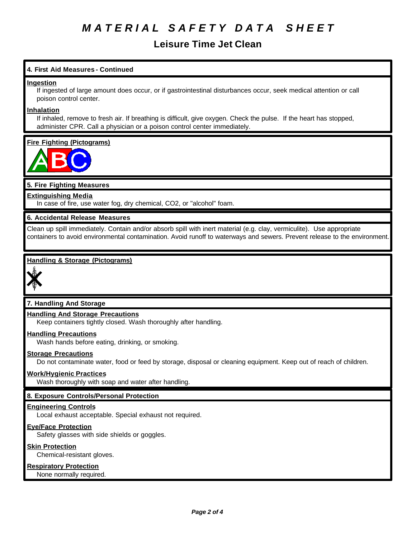# *M A T E R I A L S A F E T Y D A T A S H E E T*

## **Leisure Time Jet Clean**

## **4. First Aid Measures - Continued**

#### **Ingestion**

If ingested of large amount does occur, or if gastrointestinal disturbances occur, seek medical attention or call poison control center.

#### **Inhalation**

If inhaled, remove to fresh air. If breathing is difficult, give oxygen. Check the pulse. If the heart has stopped, administer CPR. Call a physician or a poison control center immediately.

## **Fire Fighting (Pictograms)**



## **5. Fire Fighting Measures**

#### **Extinguishing Media**

In case of fire, use water fog, dry chemical, CO2, or "alcohol" foam.

#### **6. Accidental Release Measures**

Clean up spill immediately. Contain and/or absorb spill with inert material (e.g. clay, vermiculite). Use appropriate containers to avoid environmental contamination. Avoid runoff to waterways and sewers. Prevent release to the environment.

## **Handling & Storage (Pictograms)**



## **7. Handling And Storage**

## **Handling And Storage Precautions**

Keep containers tightly closed. Wash thoroughly after handling.

#### **Handling Precautions**

Wash hands before eating, drinking, or smoking.

#### **Storage Precautions**

Do not contaminate water, food or feed by storage, disposal or cleaning equipment. Keep out of reach of children.

#### **Work/Hygienic Practices**

Wash thoroughly with soap and water after handling.

## **8. Exposure Controls/Personal Protection**

#### **Engineering Controls**

Local exhaust acceptable. Special exhaust not required.

#### **Eye/Face Protection**

Safety glasses with side shields or goggles.

#### **Skin Protection**

Chemical-resistant gloves.

#### **Respiratory Protection**

None normally required.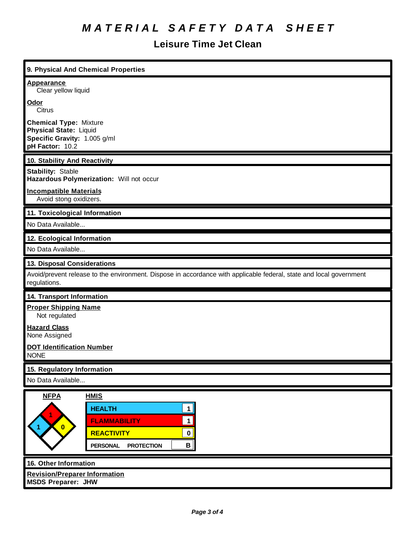# *M A T E R I A L S A F E T Y D A T A S H E E T*

## **Leisure Time Jet Clean**

ī

| 9. Physical And Chemical Properties                                                                                                                                                                         |  |  |
|-------------------------------------------------------------------------------------------------------------------------------------------------------------------------------------------------------------|--|--|
| <b>Appearance</b><br>Clear yellow liquid                                                                                                                                                                    |  |  |
| Odor<br>Citrus                                                                                                                                                                                              |  |  |
| <b>Chemical Type: Mixture</b><br><b>Physical State: Liquid</b><br>Specific Gravity: 1.005 g/ml<br>pH Factor: 10.2                                                                                           |  |  |
| 10. Stability And Reactivity                                                                                                                                                                                |  |  |
| <b>Stability: Stable</b><br>Hazardous Polymerization: Will not occur                                                                                                                                        |  |  |
| <b>Incompatible Materials</b><br>Avoid stong oxidizers.                                                                                                                                                     |  |  |
| 11. Toxicological Information                                                                                                                                                                               |  |  |
| No Data Available                                                                                                                                                                                           |  |  |
| 12. Ecological Information                                                                                                                                                                                  |  |  |
| No Data Available                                                                                                                                                                                           |  |  |
| 13. Disposal Considerations                                                                                                                                                                                 |  |  |
| Avoid/prevent release to the environment. Dispose in accordance with applicable federal, state and local government<br>regulations.                                                                         |  |  |
| 14. Transport Information                                                                                                                                                                                   |  |  |
| <b>Proper Shipping Name</b><br>Not regulated                                                                                                                                                                |  |  |
| <b>Hazard Class</b><br>None Assigned                                                                                                                                                                        |  |  |
| <b>DOT Identification Number</b><br><b>NONE</b>                                                                                                                                                             |  |  |
| 15. Regulatory Information                                                                                                                                                                                  |  |  |
| No Data Available                                                                                                                                                                                           |  |  |
| <b>NFPA</b><br><b>HMIS</b><br><b>HEALTH</b><br>1<br><b>FLAMMABILITY</b><br>$\mathbf 1$<br>$\overline{\mathbf{0}}$<br><b>REACTIVITY</b><br>$\pmb{0}$<br>$\mathbf{B}$<br><b>PERSONAL</b><br><b>PROTECTION</b> |  |  |
| 16. Other Information                                                                                                                                                                                       |  |  |
| <b>Revision/Preparer Information</b><br><b>MSDS Preparer: JHW</b>                                                                                                                                           |  |  |